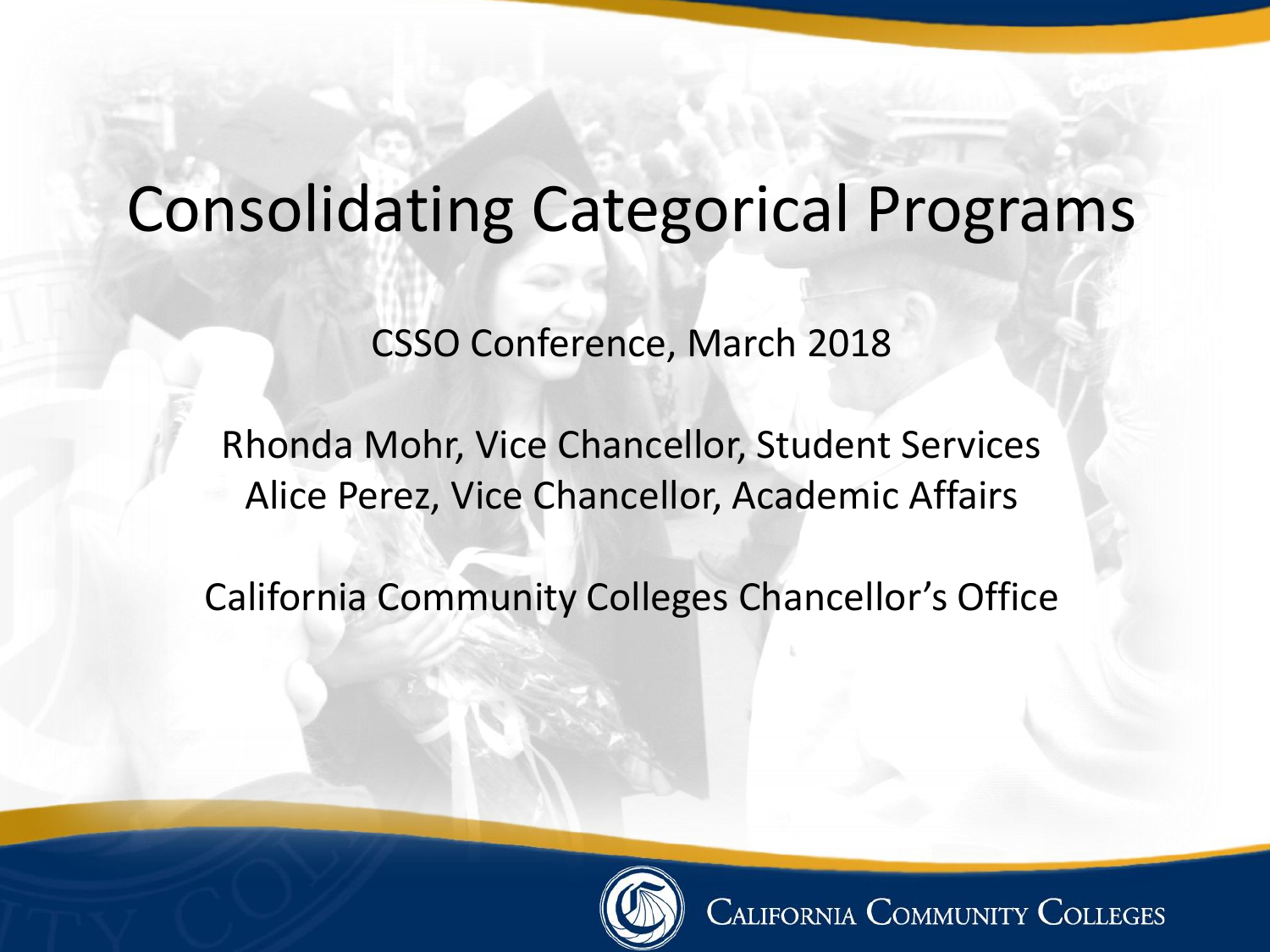# Consolidating Categorical Programs

CSSO Conference, March 2018

Rhonda Mohr, Vice Chancellor, Student Services Alice Perez, Vice Chancellor, Academic Affairs

California Community Colleges Chancellor's Office



**CALIFORNIA COMMUNITY COLLEGES**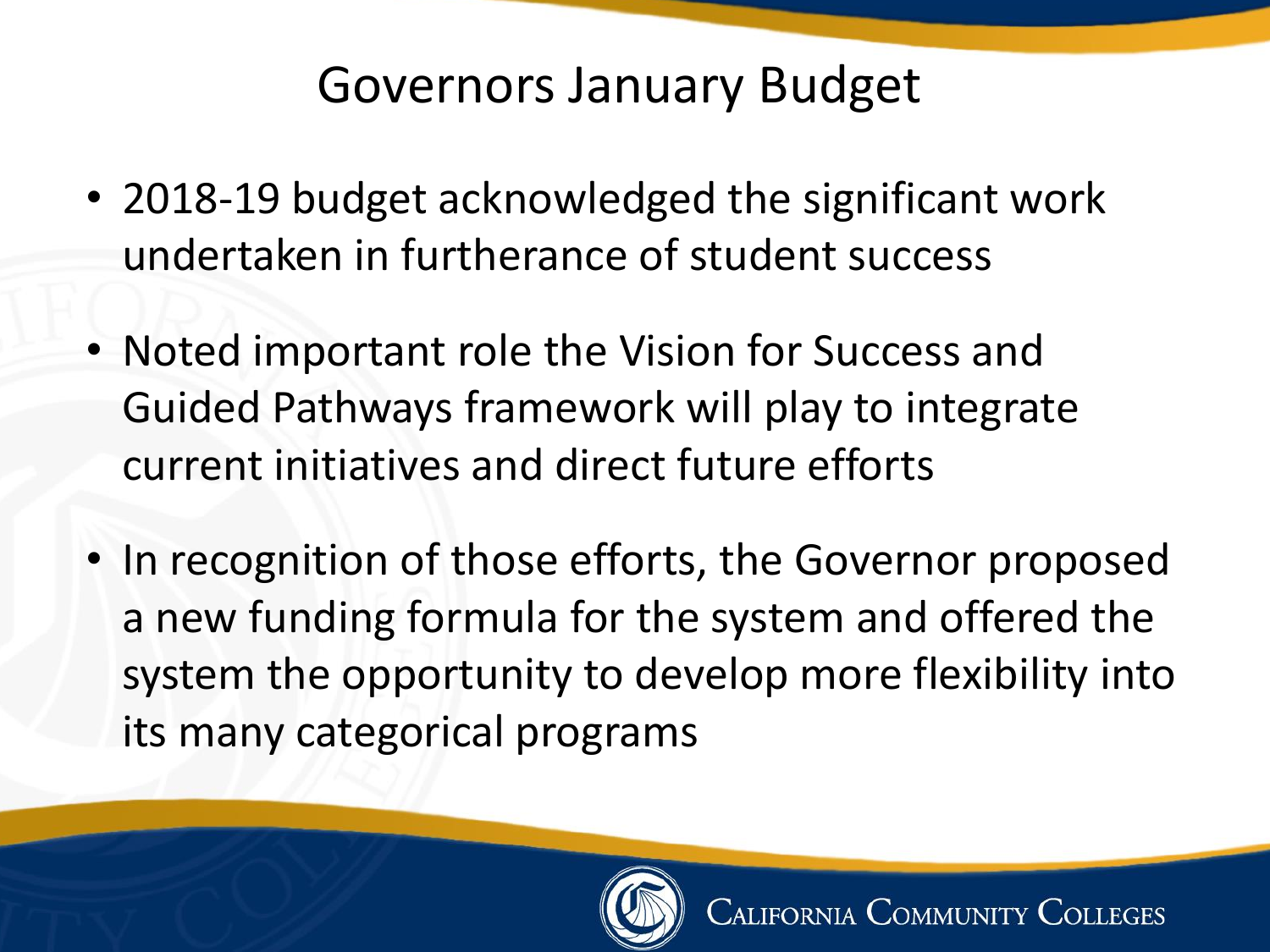### Governors January Budget

- 2018-19 budget acknowledged the significant work undertaken in furtherance of student success
- Noted important role the Vision for Success and Guided Pathways framework will play to integrate current initiatives and direct future efforts
- In recognition of those efforts, the Governor proposed a new funding formula for the system and offered the system the opportunity to develop more flexibility into its many categorical programs

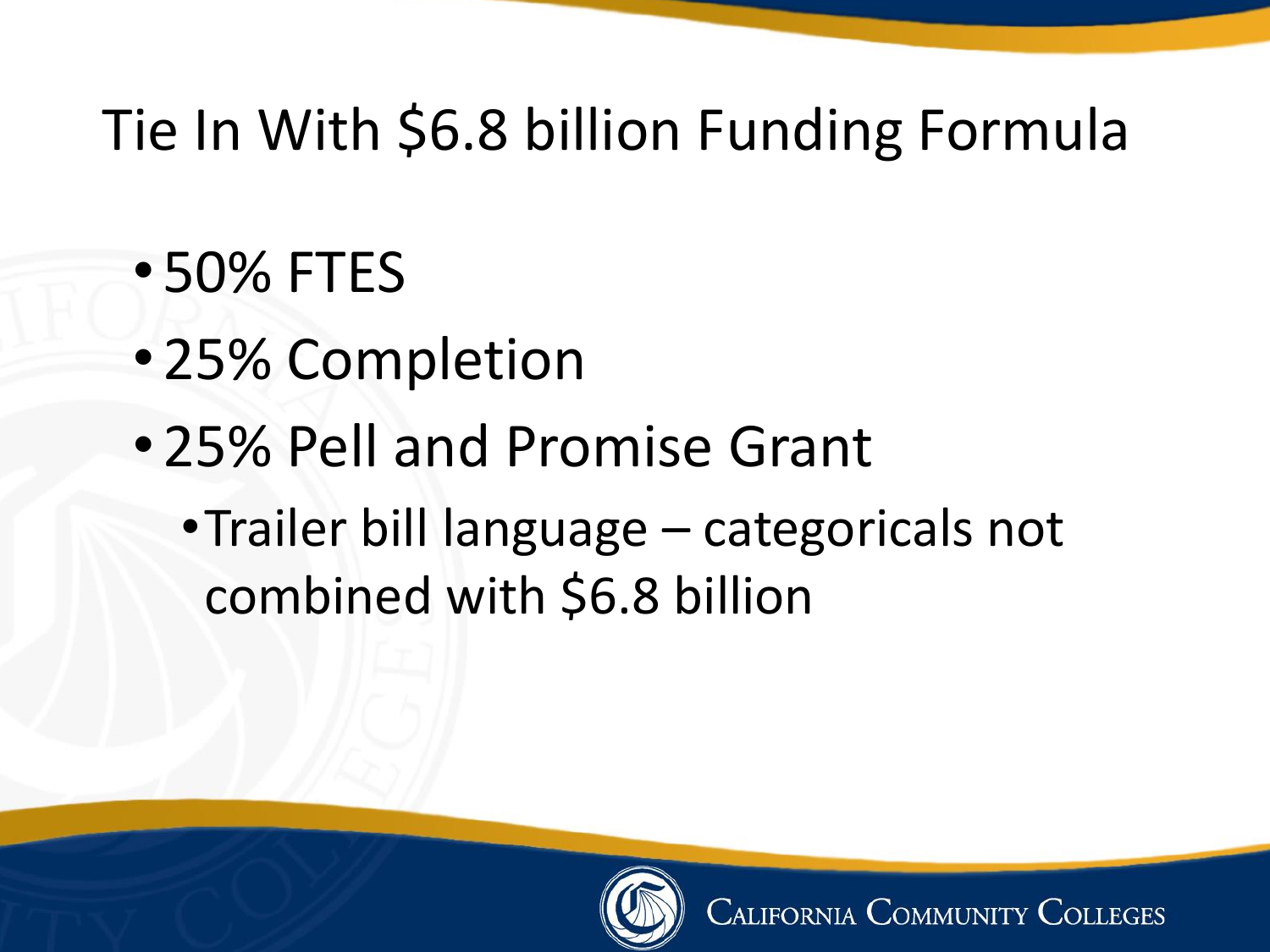# Tie In With \$6.8 billion Funding Formula

- •50% FTES
- •25% Completion
- •25% Pell and Promise Grant
	- •Trailer bill language categoricals not combined with \$6.8 billion

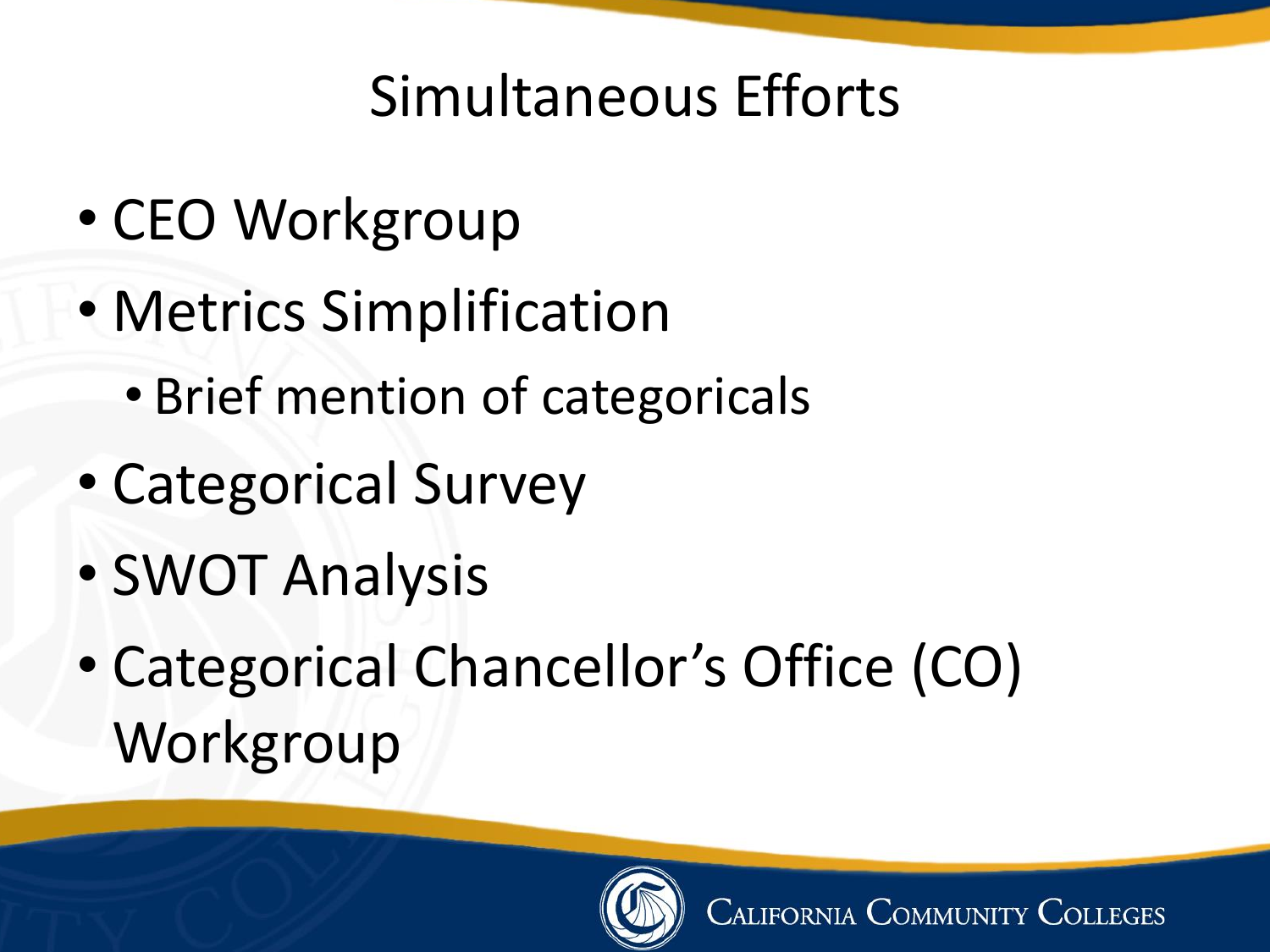## Simultaneous Efforts

- CEO Workgroup
- Metrics Simplification
	- Brief mention of categoricals
- Categorical Survey
- SWOT Analysis
- Categorical Chancellor's Office (CO) Workgroup

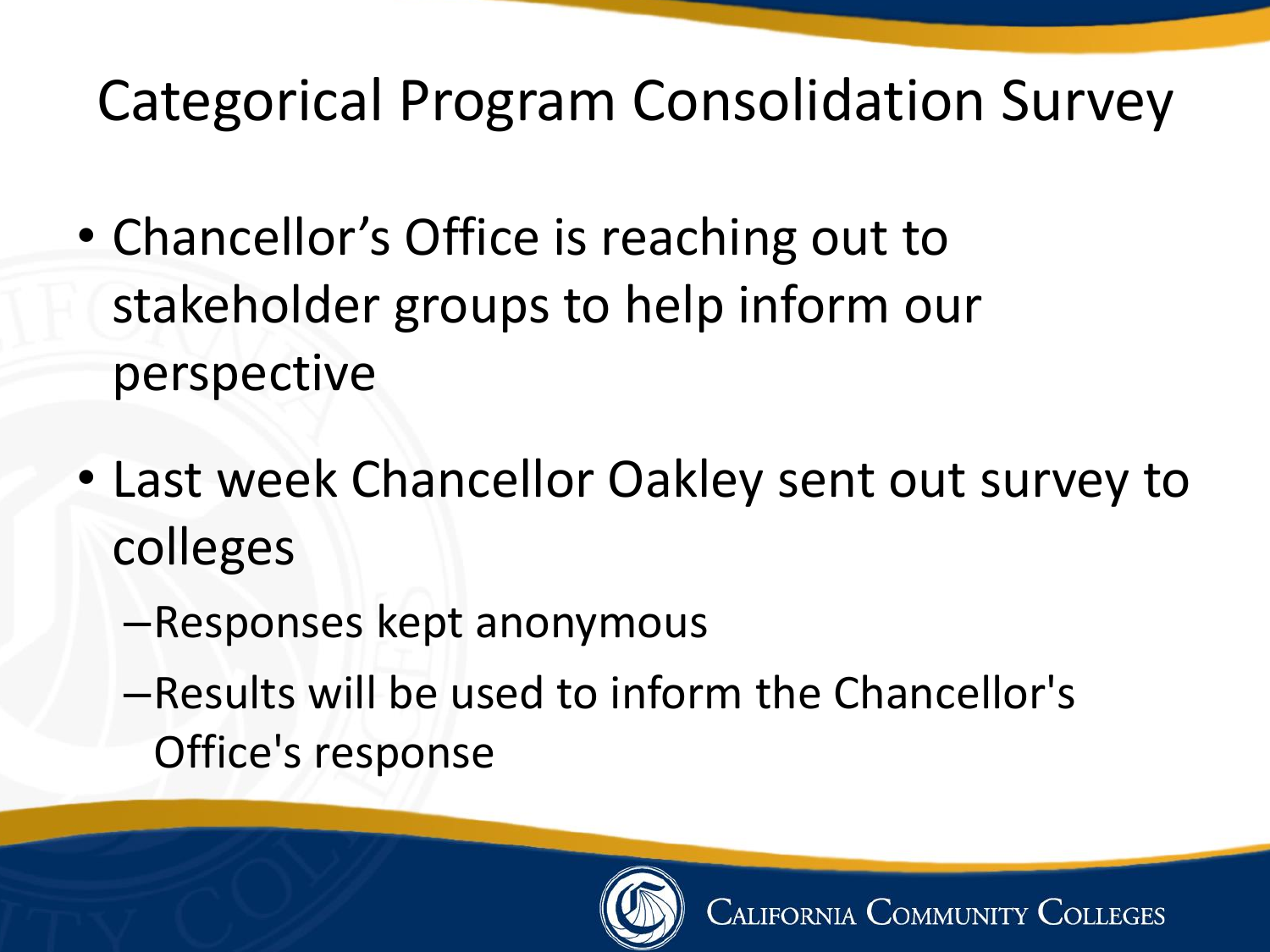### Categorical Program Consolidation Survey

- Chancellor's Office is reaching out to stakeholder groups to help inform our perspective
- Last week Chancellor Oakley sent out survey to colleges
	- –Responses kept anonymous
	- –Results will be used to inform the Chancellor's Office's response

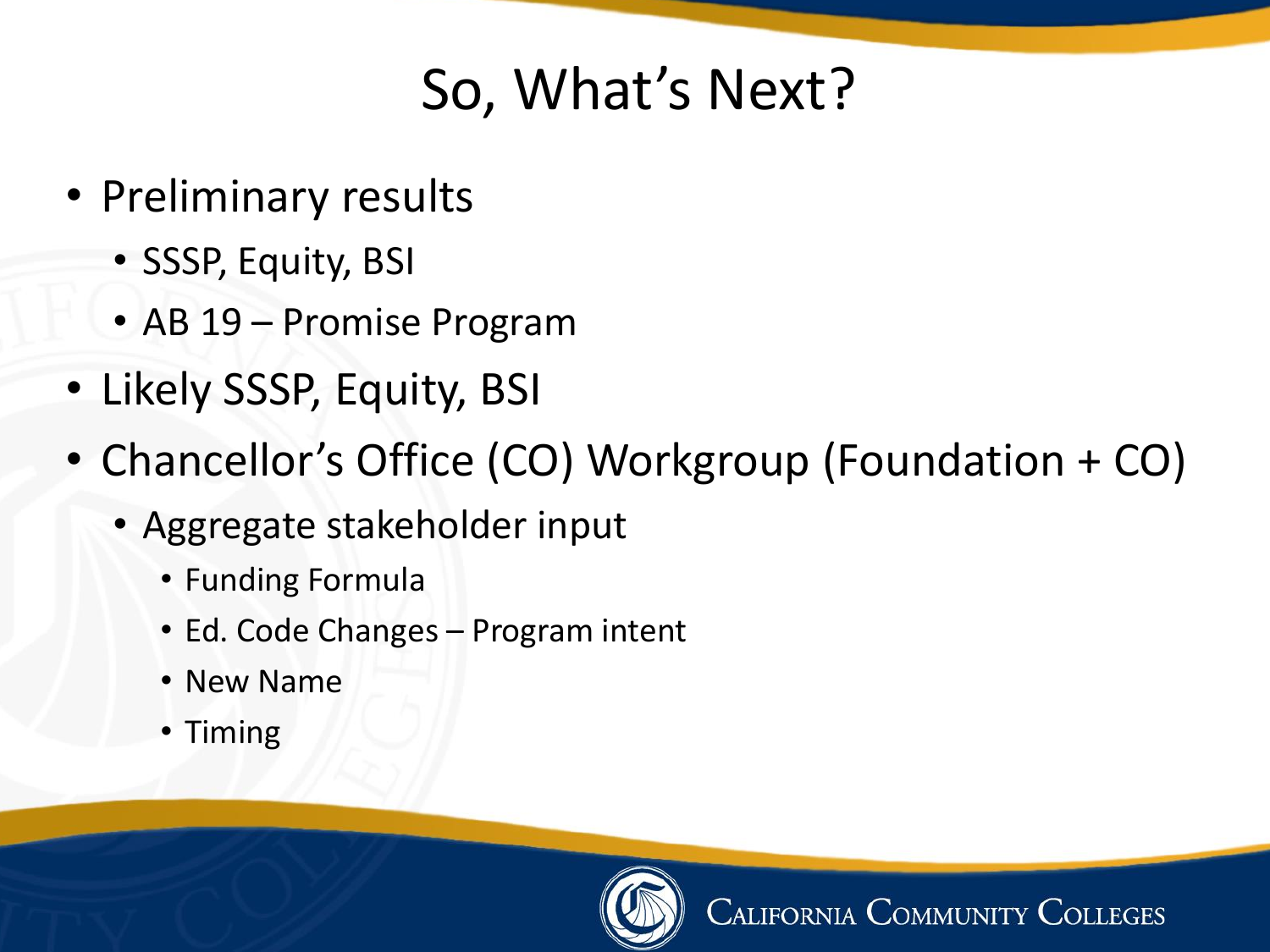# So, What's Next?

- Preliminary results
	- SSSP, Equity, BSI
	- AB 19 Promise Program
- Likely SSSP, Equity, BSI
- Chancellor's Office (CO) Workgroup (Foundation + CO)
	- Aggregate stakeholder input
		- Funding Formula
		- Ed. Code Changes Program intent
		- New Name
		- Timing

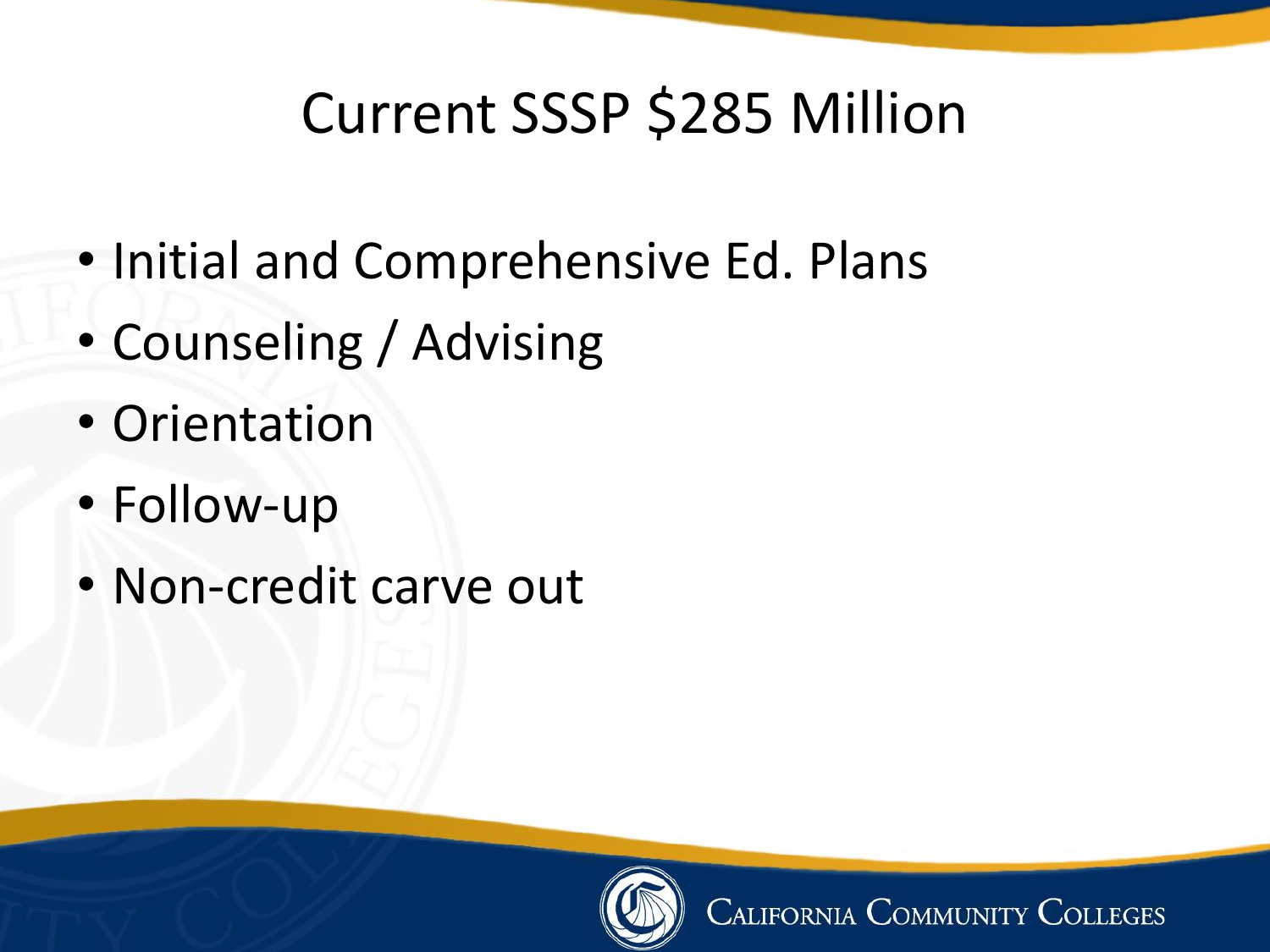## Current SSSP \$285 Million

- Initial and Comprehensive Ed. Plans
- Counseling / Advising
- Orientation
- Follow-up
- Non-credit carve out

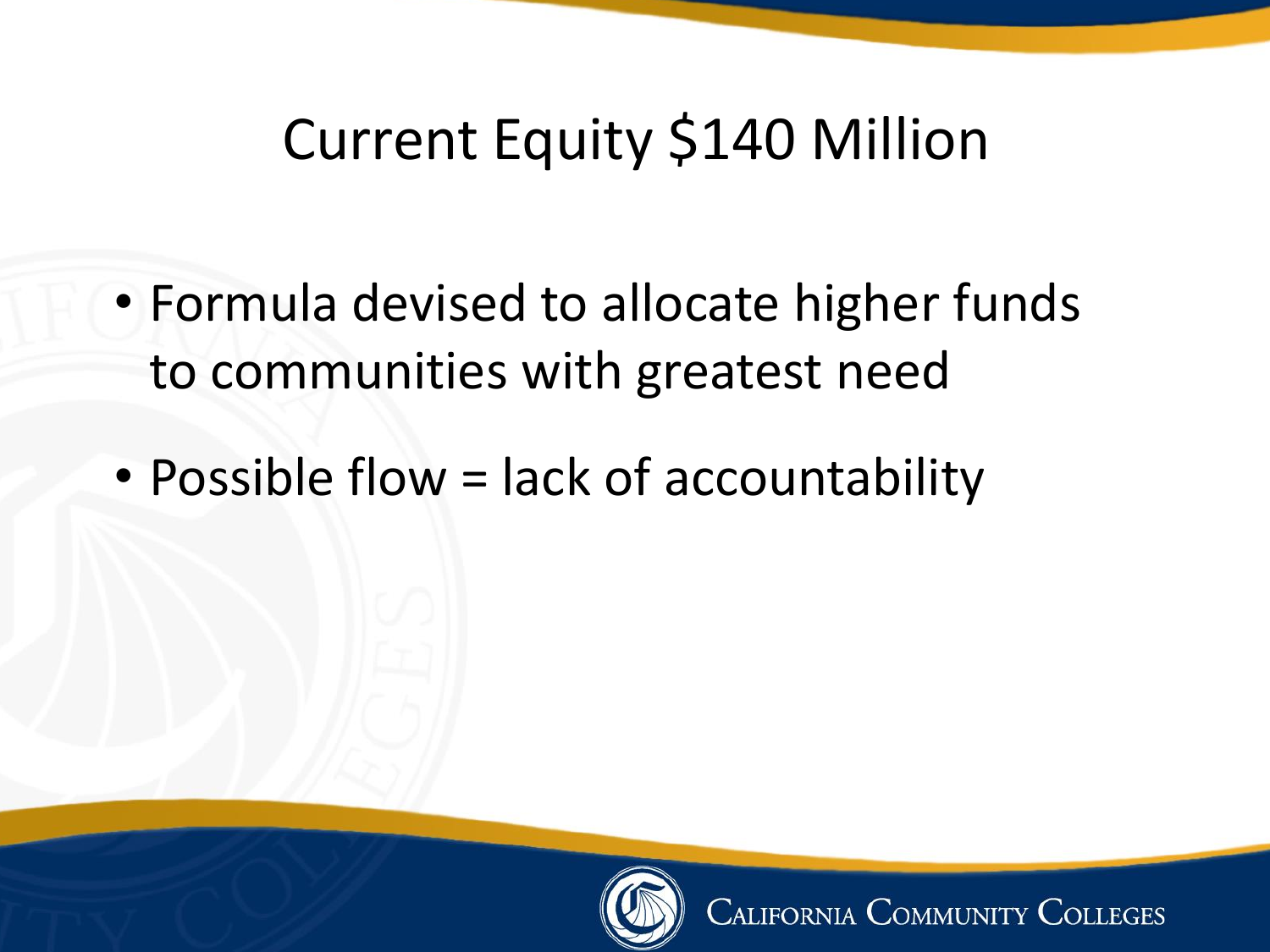## Current Equity \$140 Million

- Formula devised to allocate higher funds to communities with greatest need
- Possible flow = lack of accountability

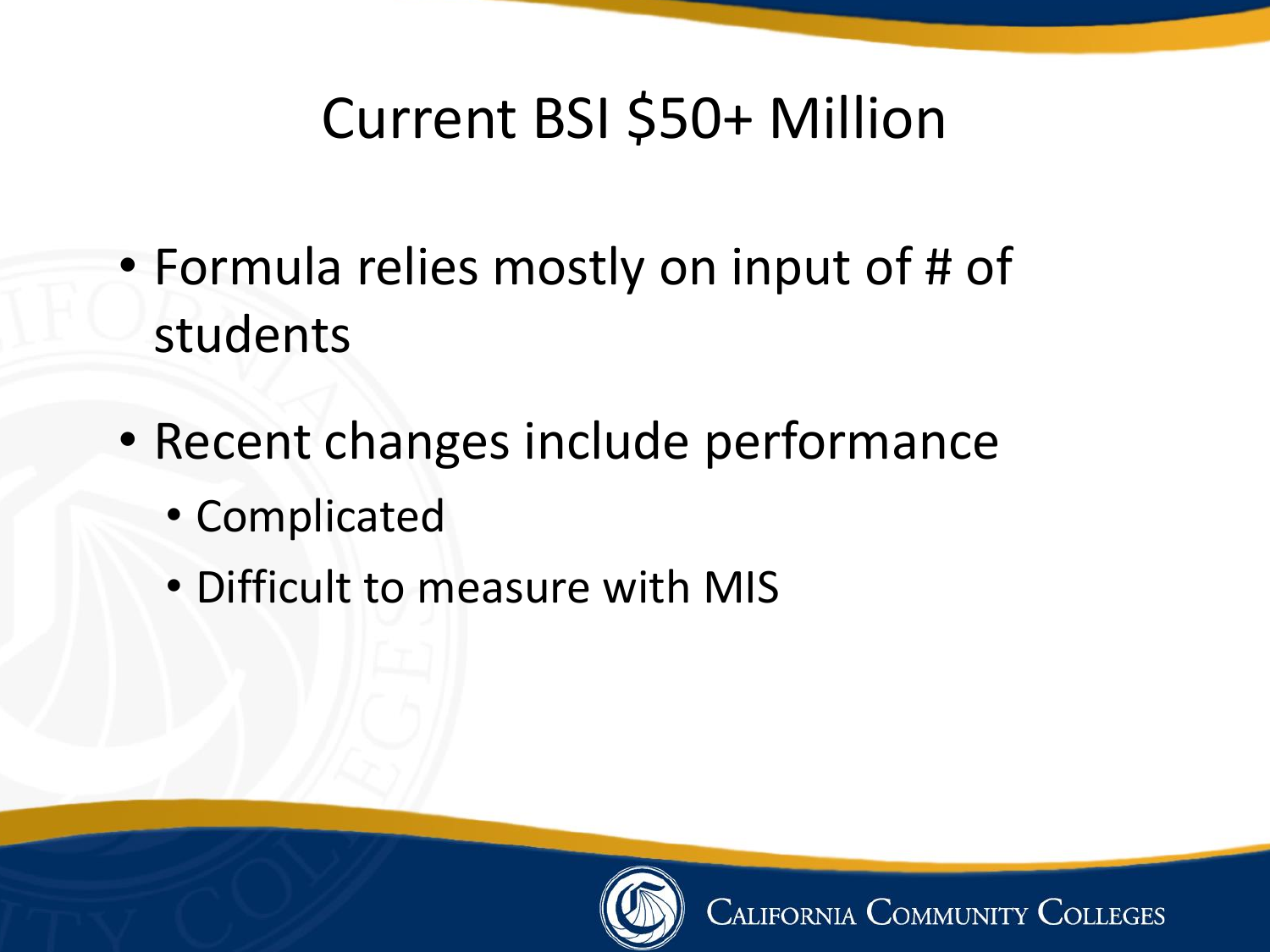# Current BSI \$50+ Million

- Formula relies mostly on input of # of students
- Recent changes include performance
	- Complicated
	- Difficult to measure with MIS

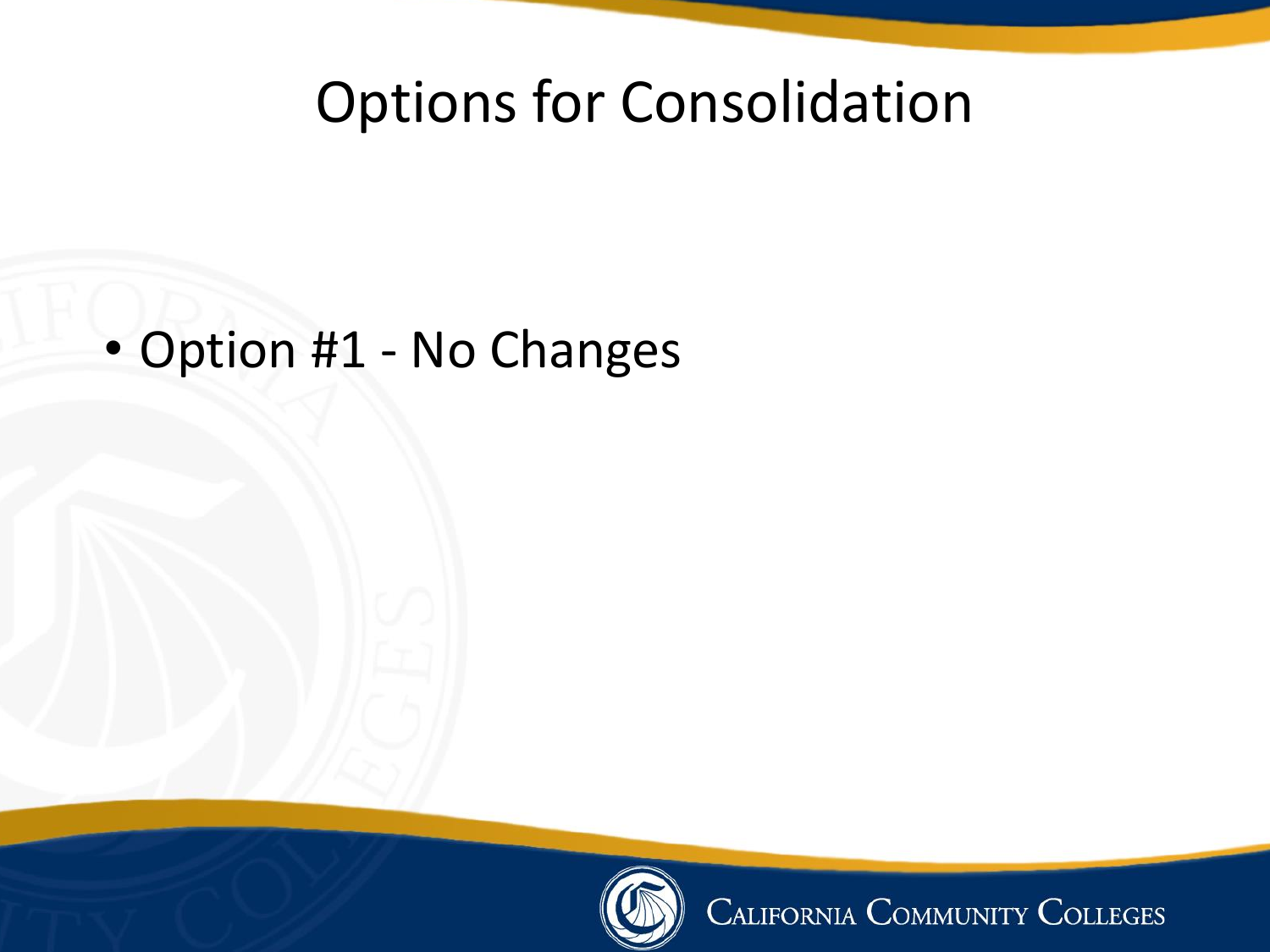### Options for Consolidation

### • Option #1 - No Changes



CALIFORNIA COMMUNITY COLLEGES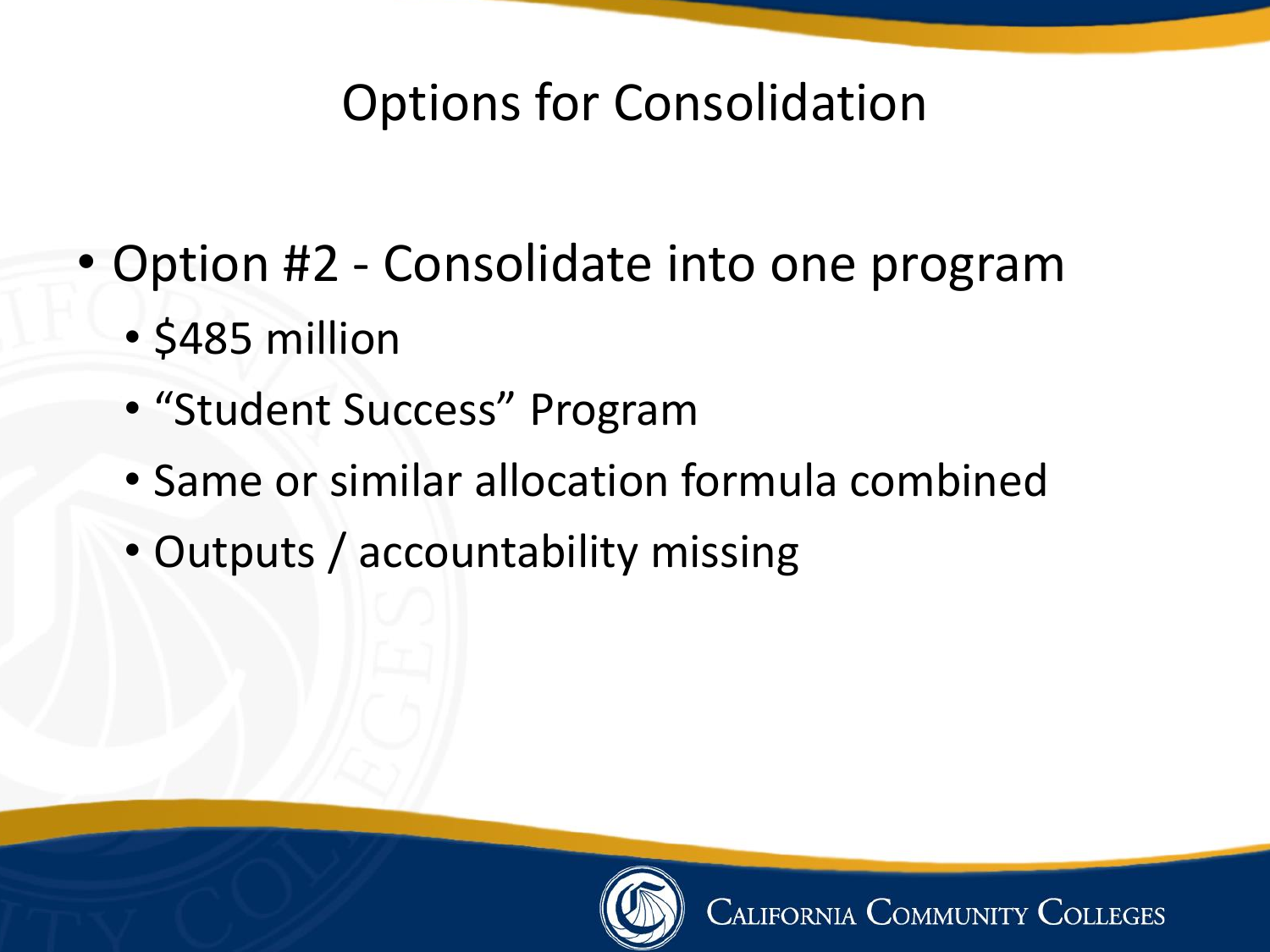### Options for Consolidation

- Option #2 Consolidate into one program
	- \$485 million
	- "Student Success" Program
	- Same or similar allocation formula combined
	- Outputs / accountability missing

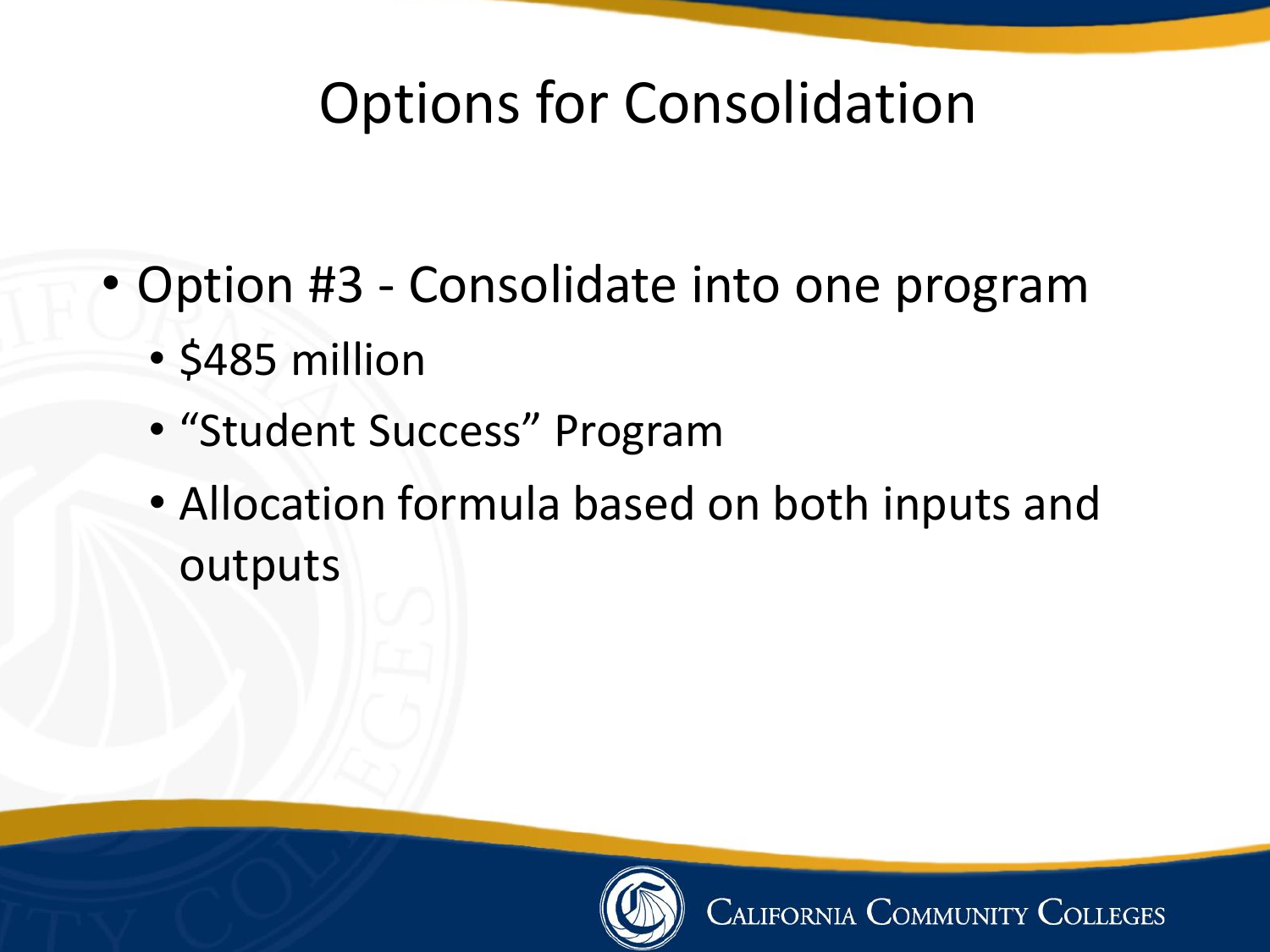### Options for Consolidation

- Option #3 Consolidate into one program
	- \$485 million
	- "Student Success" Program
	- Allocation formula based on both inputs and outputs

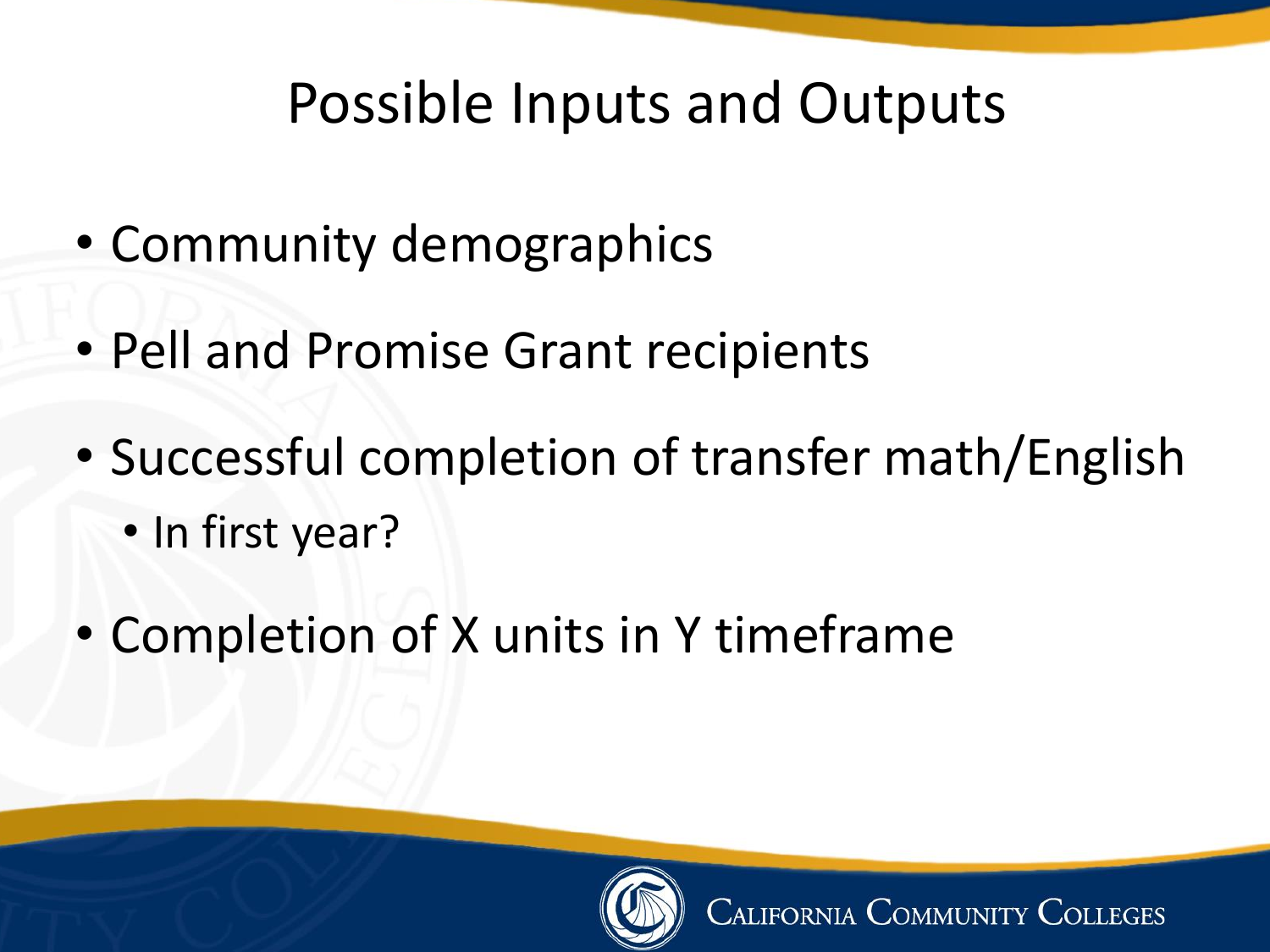### Possible Inputs and Outputs

- Community demographics
- Pell and Promise Grant recipients
- Successful completion of transfer math/English • In first year?
- Completion of X units in Y timeframe

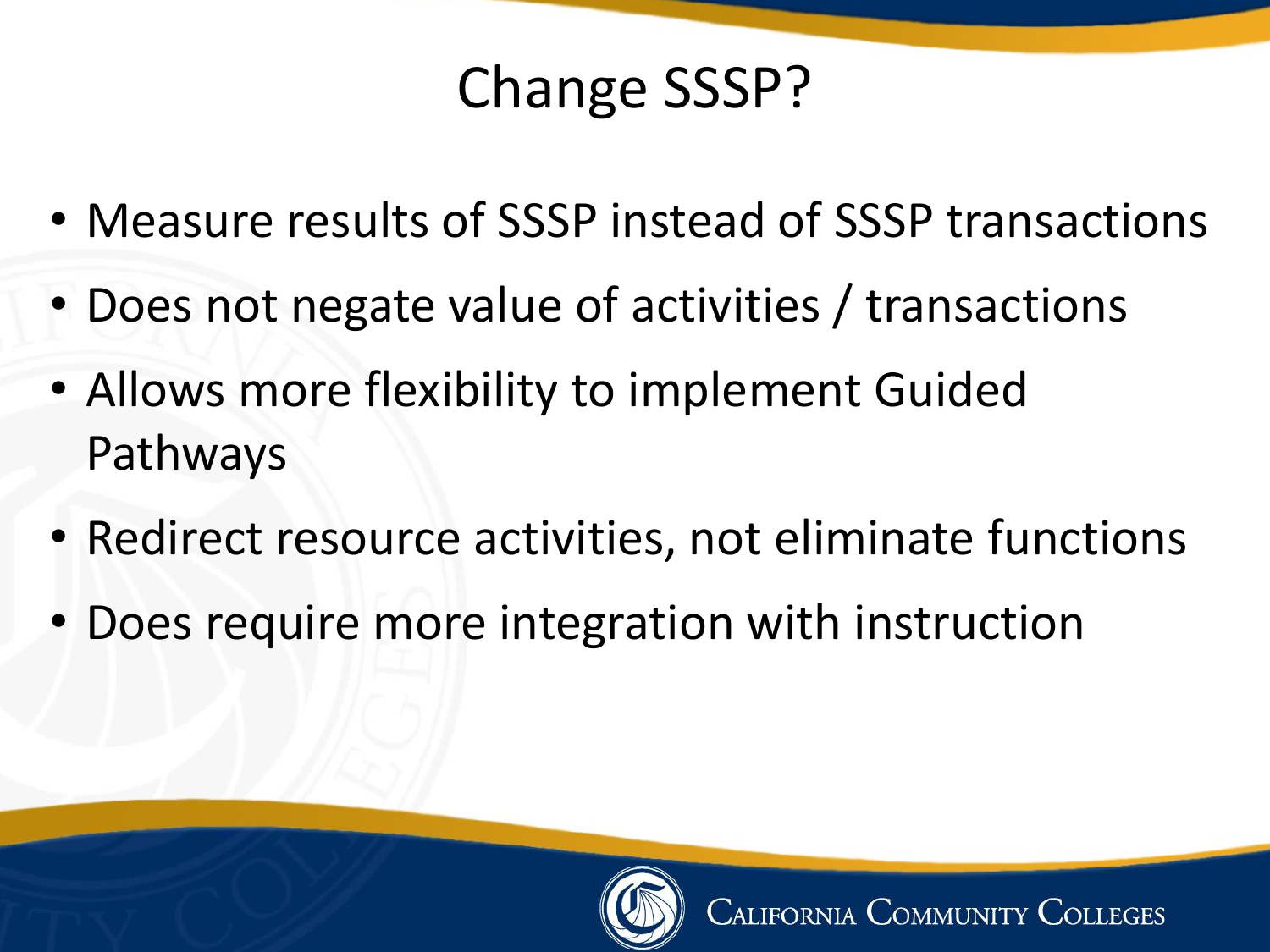## Change SSSP?

- Measure results of SSSP instead of SSSP transactions
- Does not negate value of activities / transactions
- Allows more flexibility to implement Guided Pathways
- Redirect resource activities, not eliminate functions
- Does require more integration with instruction

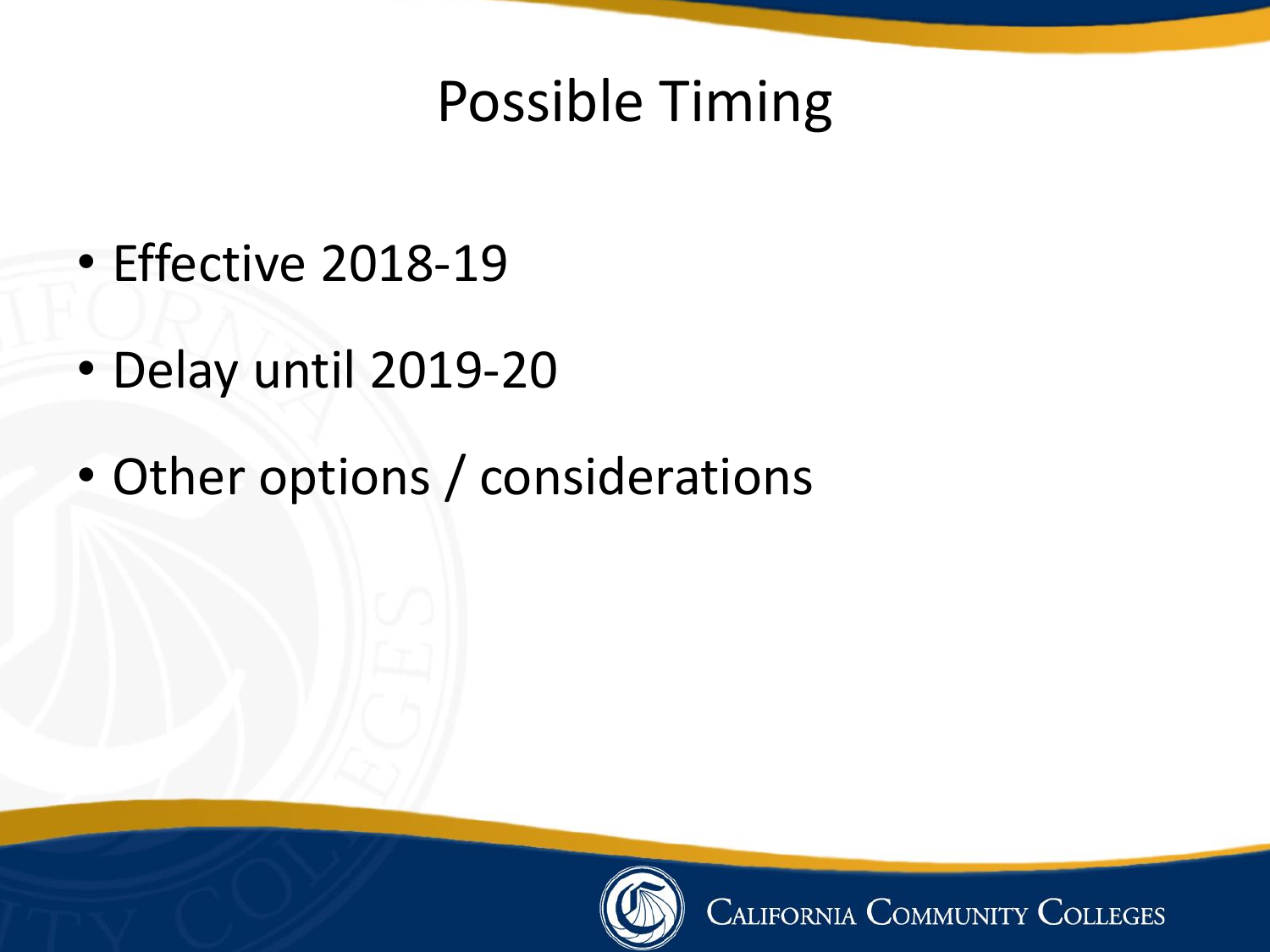### Possible Timing

- Effective 2018-19
- Delay until 2019-20
- Other options / considerations



CALIFORNIA COMMUNITY COLLEGES